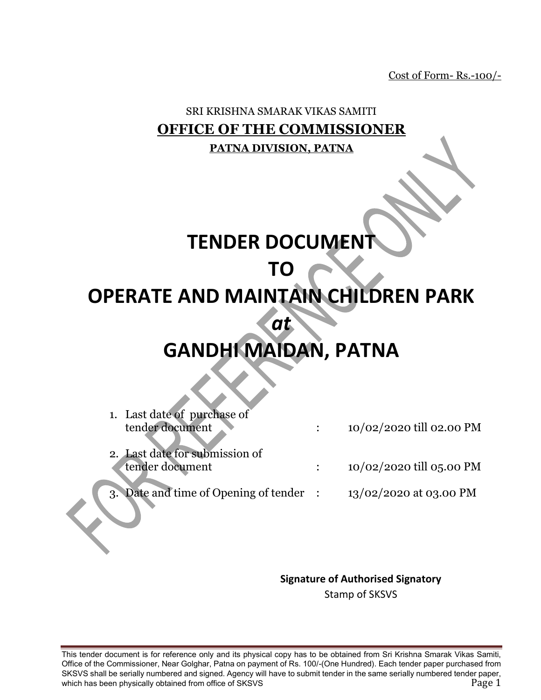Cost of Form- Rs.-100/-

## SRI KRISHNA SMARAK VIKAS SAMITI **OFFICE OF THE COMMISSIONER PATNA DIVISION, PATNA**

# **TENDER DOCUMENT**

# **TO**

# **OPERATE AND MAINTAIN CHILDREN PARK**

*at* 

# **GANDHI MAIDAN, PATNA**

| 1. Last date of purchase of             |                          |
|-----------------------------------------|--------------------------|
| tender document                         | 10/02/2020 till 02.00 PM |
| 2. Last date for submission of          |                          |
| tender document                         | 10/02/2020 till 05.00 PM |
| 3. Date and time of Opening of tender : | 13/02/2020 at 03.00 PM   |
|                                         |                          |

#### **Signature of Authorised Signatory**

Stamp of SKSVS

This tender document is for reference only and its physical copy has to be obtained from Sri Krishna Smarak Vikas Samiti, Office of the Commissioner, Near Golghar, Patna on payment of Rs. 100/-(One Hundred). Each tender paper purchased from SKSVS shall be serially numbered and signed. Agency will have to submit tender in the same serially numbered tender paper, which has been physically obtained from office of SKSVS **Page 1** and the state of  $\frac{1}{2}$  Page 1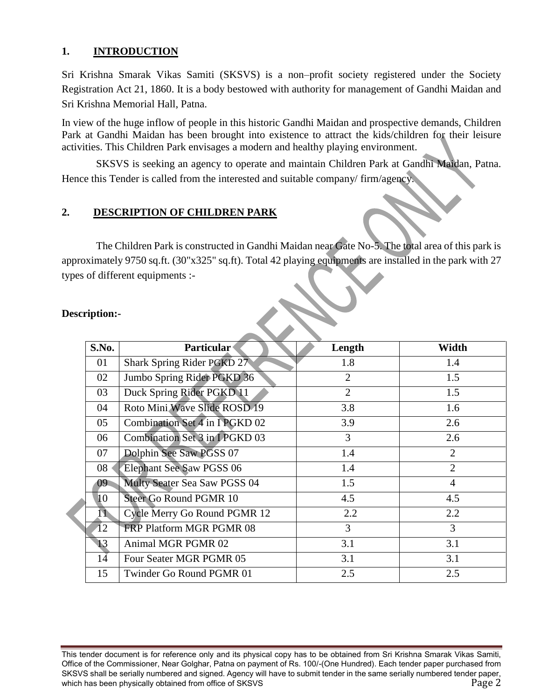#### **1. INTRODUCTION**

Sri Krishna Smarak Vikas Samiti (SKSVS) is a non–profit society registered under the Society Registration Act 21, 1860. It is a body bestowed with authority for management of Gandhi Maidan and Sri Krishna Memorial Hall, Patna.

In view of the huge inflow of people in this historic Gandhi Maidan and prospective demands, Children Park at Gandhi Maidan has been brought into existence to attract the kids/children for their leisure activities. This Children Park envisages a modern and healthy playing environment.

SKSVS is seeking an agency to operate and maintain Children Park at Gandhi Maidan, Patna. Hence this Tender is called from the interested and suitable company/ firm/agency.

#### **2. DESCRIPTION OF CHILDREN PARK**

The Children Park is constructed in Gandhi Maidan near Gate No-5. The total area of this park is approximately 9750 sq.ft. (30"x325" sq.ft). Total 42 playing equipments are installed in the park with 27 types of different equipments :-

| S.No.           | <b>Particular</b>               | Length         | Width          |
|-----------------|---------------------------------|----------------|----------------|
| 01              | Shark Spring Rider PGKD 27      | 1.8            | 1.4            |
| 02              | Jumbo Spring Rider PGKD 36      | $\overline{2}$ | 1.5            |
| 03              | Duck Spring Rider PGKD 11       | $\overline{2}$ | 1.5            |
| 04              | Roto Mini Wave Slide ROSD 19    | 3.8            | 1.6            |
| 05              | Combination Set 4 in 1 PGKD 02  | 3.9            | 2.6            |
| 06              | Combination Set 3 in IPGKD 03   | 3              | 2.6            |
| 07              | Dolphin See Saw PGSS 07         | 1.4            | 2              |
| 08              | <b>Elephant See Saw PGSS 06</b> | 1.4            | $\overline{2}$ |
| 09 <sup>°</sup> | Multy Seater Sea Saw PGSS 04    | 1.5            | $\overline{4}$ |
| 10              | <b>Steer Go Round PGMR 10</b>   | 4.5            | 4.5            |
| 11              | Cycle Merry Go Round PGMR 12    | 2.2            | 2.2            |
| 12              | <b>FRP Platform MGR PGMR 08</b> | $\overline{3}$ | 3              |
| 13              | Animal MGR PGMR 02              | 3.1            | 3.1            |
| 14              | Four Seater MGR PGMR 05         | 3.1            | 3.1            |
| 15              | Twinder Go Round PGMR 01        | 2.5            | 2.5            |

#### **Description:-**

This tender document is for reference only and its physical copy has to be obtained from Sri Krishna Smarak Vikas Samiti, Office of the Commissioner, Near Golghar, Patna on payment of Rs. 100/-(One Hundred). Each tender paper purchased from SKSVS shall be serially numbered and signed. Agency will have to submit tender in the same serially numbered tender paper, which has been physically obtained from office of SKSVS **Page 2** Page 2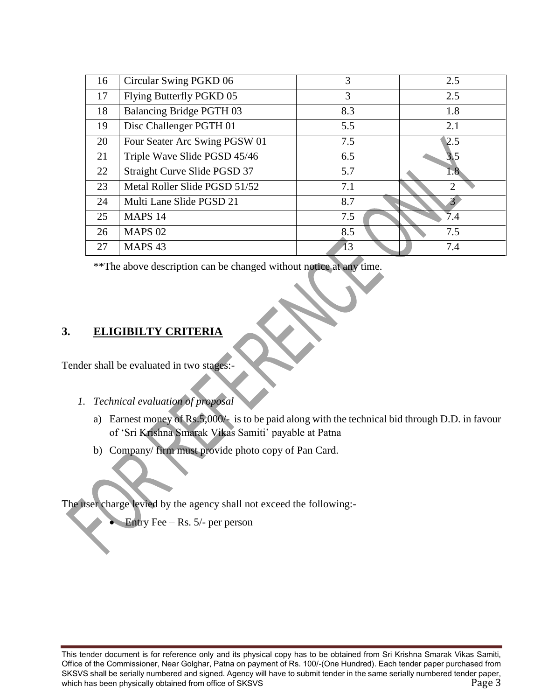| 16 | Circular Swing PGKD 06          | 3   | 2.5 |
|----|---------------------------------|-----|-----|
| 17 | Flying Butterfly PGKD 05        | 3   | 2.5 |
| 18 | <b>Balancing Bridge PGTH 03</b> | 8.3 | 1.8 |
| 19 | Disc Challenger PGTH 01         | 5.5 | 2.1 |
| 20 | Four Seater Arc Swing PGSW 01   | 7.5 | 2.5 |
| 21 | Triple Wave Slide PGSD 45/46    | 6.5 | 3.5 |
| 22 | Straight Curve Slide PGSD 37    | 5.7 | 1.8 |
| 23 | Metal Roller Slide PGSD 51/52   | 7.1 | ↑   |
| 24 | Multi Lane Slide PGSD 21        | 8.7 |     |
| 25 | MAPS 14                         | 7.5 | 7.4 |
| 26 | <b>MAPS 02</b>                  | 8.5 | 7.5 |
| 27 | MAPS <sub>43</sub>              | 13  | 7.4 |

\*\*The above description can be changed without notice at any time.

#### **3. ELIGIBILTY CRITERIA**

Tender shall be evaluated in two stages:-

- *1. Technical evaluation of proposal* 
	- a) Earnest money of Rs.5,000/- is to be paid along with the technical bid through D.D. in favour of 'Sri Krishna Smarak Vikas Samiti' payable at Patna
	- b) Company/ firm must provide photo copy of Pan Card.

The user charge levied by the agency shall not exceed the following:-

Entry Fee – Rs. 5/- per person

This tender document is for reference only and its physical copy has to be obtained from Sri Krishna Smarak Vikas Samiti, Office of the Commissioner, Near Golghar, Patna on payment of Rs. 100/-(One Hundred). Each tender paper purchased from SKSVS shall be serially numbered and signed. Agency will have to submit tender in the same serially numbered tender paper, which has been physically obtained from office of SKSVS **Page 3** Page 3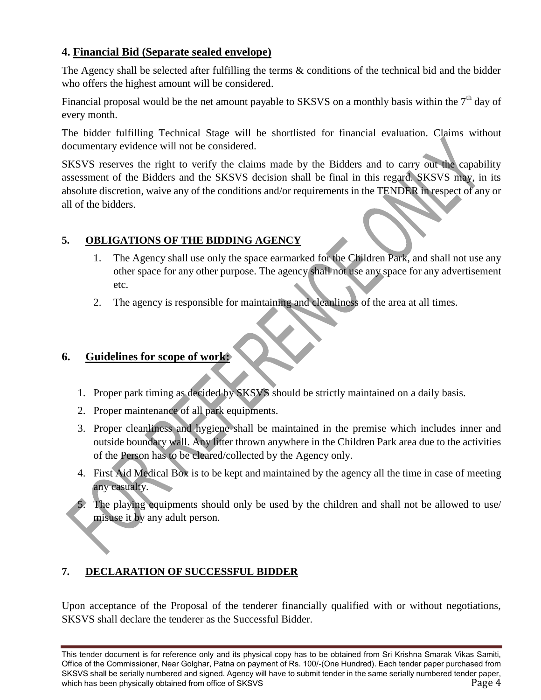#### **4. Financial Bid (Separate sealed envelope)**

The Agency shall be selected after fulfilling the terms & conditions of the technical bid and the bidder who offers the highest amount will be considered.

Financial proposal would be the net amount payable to SKSVS on a monthly basis within the  $7<sup>th</sup>$  day of every month.

The bidder fulfilling Technical Stage will be shortlisted for financial evaluation. Claims without documentary evidence will not be considered.

SKSVS reserves the right to verify the claims made by the Bidders and to carry out the capability assessment of the Bidders and the SKSVS decision shall be final in this regard. SKSVS may, in its absolute discretion, waive any of the conditions and/or requirements in the TENDER in respect of any or all of the bidders.

#### **5. OBLIGATIONS OF THE BIDDING AGENCY**

- 1. The Agency shall use only the space earmarked for the Children Park, and shall not use any other space for any other purpose. The agency shall not use any space for any advertisement etc.
- 2. The agency is responsible for maintaining and cleanliness of the area at all times.

## **6. Guidelines for scope of work:**

- 1. Proper park timing as decided by SKSVS should be strictly maintained on a daily basis.
- 2. Proper maintenance of all park equipments.
- 3. Proper cleanliness and hygiene shall be maintained in the premise which includes inner and outside boundary wall. Any litter thrown anywhere in the Children Park area due to the activities of the Person has to be cleared/collected by the Agency only.
- 4. First Aid Medical Box is to be kept and maintained by the agency all the time in case of meeting any casualty.
- 5. The playing equipments should only be used by the children and shall not be allowed to use/ misuse it by any adult person.

## **7. DECLARATION OF SUCCESSFUL BIDDER**

Upon acceptance of the Proposal of the tenderer financially qualified with or without negotiations, SKSVS shall declare the tenderer as the Successful Bidder.

This tender document is for reference only and its physical copy has to be obtained from Sri Krishna Smarak Vikas Samiti, Office of the Commissioner, Near Golghar, Patna on payment of Rs. 100/-(One Hundred). Each tender paper purchased from SKSVS shall be serially numbered and signed. Agency will have to submit tender in the same serially numbered tender paper, which has been physically obtained from office of SKSVS Page 4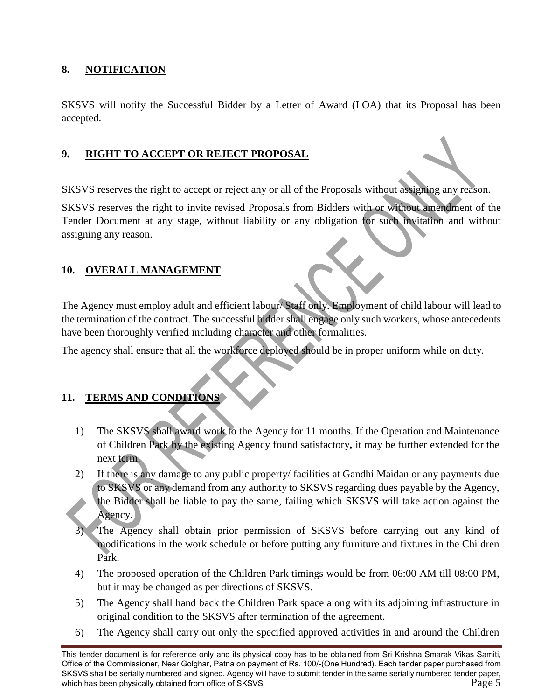#### **8. NOTIFICATION**

SKSVS will notify the Successful Bidder by a Letter of Award (LOA) that its Proposal has been accepted.

#### **9. RIGHT TO ACCEPT OR REJECT PROPOSAL**

SKSVS reserves the right to accept or reject any or all of the Proposals without assigning any reason.

SKSVS reserves the right to invite revised Proposals from Bidders with or without amendment of the Tender Document at any stage, without liability or any obligation for such invitation and without assigning any reason.

#### **10. OVERALL MANAGEMENT**

The Agency must employ adult and efficient labour/ Staff only. Employment of child labour will lead to the termination of the contract. The successful bidder shall engage only such workers, whose antecedents have been thoroughly verified including character and other formalities.

The agency shall ensure that all the workforce deployed should be in proper uniform while on duty.

#### **11. TERMS AND CONDITIONS**

- 1) The SKSVS shall award work to the Agency for 11 months. If the Operation and Maintenance of Children Park by the existing Agency found satisfactory**,** it may be further extended for the next term.
- 2) If there is any damage to any public property/ facilities at Gandhi Maidan or any payments due to SKSVS or any demand from any authority to SKSVS regarding dues payable by the Agency, the Bidder shall be liable to pay the same, failing which SKSVS will take action against the Agency.
- The Agency shall obtain prior permission of SKSVS before carrying out any kind of modifications in the work schedule or before putting any furniture and fixtures in the Children Park.
- 4) The proposed operation of the Children Park timings would be from 06:00 AM till 08:00 PM, but it may be changed as per directions of SKSVS.
- 5) The Agency shall hand back the Children Park space along with its adjoining infrastructure in original condition to the SKSVS after termination of the agreement.
- 6) The Agency shall carry out only the specified approved activities in and around the Children

This tender document is for reference only and its physical copy has to be obtained from Sri Krishna Smarak Vikas Samiti, Office of the Commissioner, Near Golghar, Patna on payment of Rs. 100/-(One Hundred). Each tender paper purchased from SKSVS shall be serially numbered and signed. Agency will have to submit tender in the same serially numbered tender paper, which has been physically obtained from office of SKSVS **Page 5** Page 5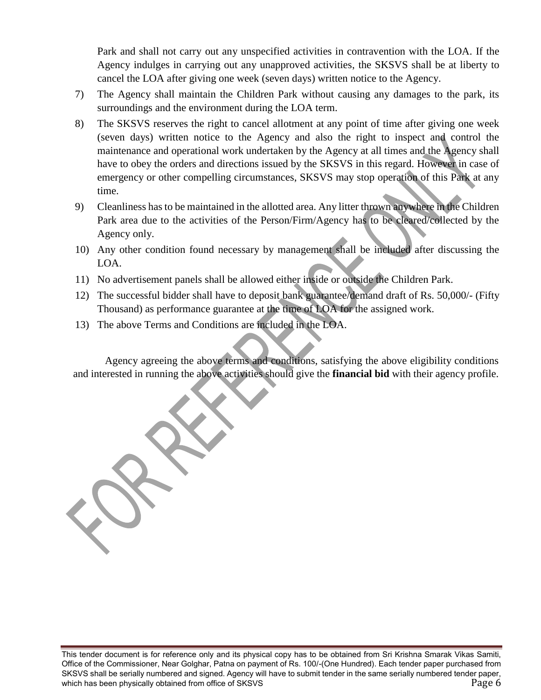Park and shall not carry out any unspecified activities in contravention with the LOA. If the Agency indulges in carrying out any unapproved activities, the SKSVS shall be at liberty to cancel the LOA after giving one week (seven days) written notice to the Agency.

- 7) The Agency shall maintain the Children Park without causing any damages to the park, its surroundings and the environment during the LOA term.
- 8) The SKSVS reserves the right to cancel allotment at any point of time after giving one week (seven days) written notice to the Agency and also the right to inspect and control the maintenance and operational work undertaken by the Agency at all times and the Agency shall have to obey the orders and directions issued by the SKSVS in this regard. However in case of emergency or other compelling circumstances, SKSVS may stop operation of this Park at any time.
- 9) Cleanliness has to be maintained in the allotted area. Any litter thrown anywhere in the Children Park area due to the activities of the Person/Firm/Agency has to be cleared/collected by the Agency only.
- 10) Any other condition found necessary by management shall be included after discussing the LOA.
- 11) No advertisement panels shall be allowed either inside or outside the Children Park.
- 12) The successful bidder shall have to deposit bank guarantee/demand draft of Rs. 50,000/- (Fifty Thousand) as performance guarantee at the time of LOA for the assigned work.
- 13) The above Terms and Conditions are included in the LOA.

Agency agreeing the above terms and conditions, satisfying the above eligibility conditions and interested in running the above activities should give the **financial bid** with their agency profile.

This tender document is for reference only and its physical copy has to be obtained from Sri Krishna Smarak Vikas Samiti, Office of the Commissioner, Near Golghar, Patna on payment of Rs. 100/-(One Hundred). Each tender paper purchased from SKSVS shall be serially numbered and signed. Agency will have to submit tender in the same serially numbered tender paper, which has been physically obtained from office of SKSVS **Page 6** Page 6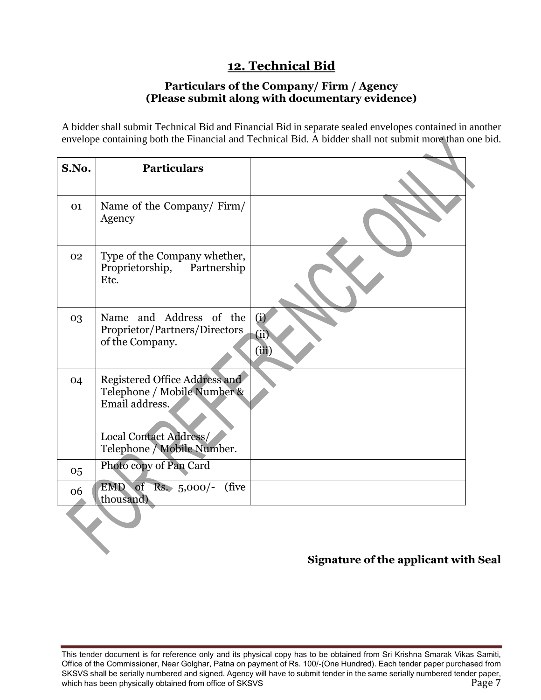## **12. Technical Bid**

#### **Particulars of the Company/ Firm / Agency (Please submit along with documentary evidence)**

A bidder shall submit Technical Bid and Financial Bid in separate sealed envelopes contained in another envelope containing both the Financial and Technical Bid. A bidder shall not submit more than one bid.

| S.No. | <b>Particulars</b>                                                                                                                     |                      |
|-------|----------------------------------------------------------------------------------------------------------------------------------------|----------------------|
| 01    | Name of the Company/Firm/<br>Agency                                                                                                    |                      |
| 02    | Type of the Company whether,<br>Proprietorship, Partnership<br>Etc.                                                                    |                      |
| 03    | Name and Address of the<br>Proprietor/Partners/Directors<br>of the Company.                                                            | (i)<br>(ii)<br>(iii) |
| 04    | Registered Office Address and<br>Telephone / Mobile Number &<br>Email address.<br>Local Contact Address/<br>Telephone / Mobile Number. |                      |
| 05    | Photo copy of Pan Card                                                                                                                 |                      |
| 06    | EMD of Rs. 5,000/-<br>(five)<br>thousand)                                                                                              |                      |
|       |                                                                                                                                        |                      |

## **Signature of the applicant with Seal**

This tender document is for reference only and its physical copy has to be obtained from Sri Krishna Smarak Vikas Samiti, Office of the Commissioner, Near Golghar, Patna on payment of Rs. 100/-(One Hundred). Each tender paper purchased from SKSVS shall be serially numbered and signed. Agency will have to submit tender in the same serially numbered tender paper, which has been physically obtained from office of SKSVS **Page 7** and the state of  $\sim$  Page 7